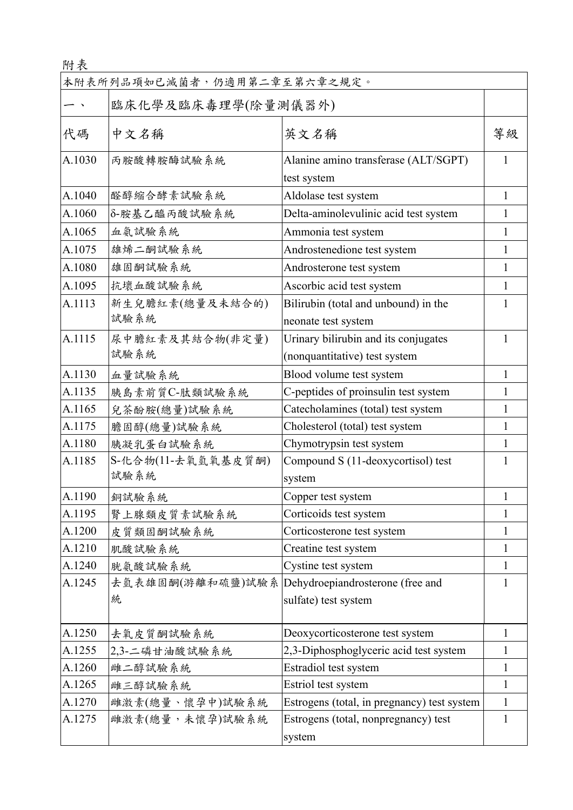| 附表     |                             |                                                                       |              |
|--------|-----------------------------|-----------------------------------------------------------------------|--------------|
|        | 本附表所列品項如已滅菌者,仍適用第二章至第六章之規定。 |                                                                       |              |
|        | 臨床化學及臨床毒理學(除量測儀器外)          |                                                                       |              |
| 代碼     | 中文名稱                        | 英文名稱                                                                  | 等級           |
| A.1030 | 丙胺酸轉胺酶試驗系統                  | Alanine amino transferase (ALT/SGPT)<br>test system                   | 1            |
| A.1040 | 醛醇缩合酵素試驗系統                  | Aldolase test system                                                  | 1            |
| A.1060 | δ-胺基乙醯丙酸試驗系統                | Delta-aminolevulinic acid test system                                 | 1            |
| A.1065 | 血氨試驗系統                      | Ammonia test system                                                   | 1            |
| A.1075 | 雄烯二酮試驗系統                    | Androstenedione test system                                           | 1            |
| A.1080 | 雄固酮試驗系統                     | Androsterone test system                                              | 1            |
| A.1095 | 抗壞血酸試驗系統                    | Ascorbic acid test system                                             | $\mathbf{1}$ |
| A.1113 | 新生兒膽紅素(總量及未結合的)<br>試驗系統     | Bilirubin (total and unbound) in the<br>neonate test system           |              |
| A.1115 | 尿中膽紅素及其結合物(非定量)<br>試驗系統     | Urinary bilirubin and its conjugates<br>(nonquantitative) test system |              |
| A.1130 | 血量試驗系統                      | Blood volume test system                                              | 1            |
| A.1135 | 胰島素前質C-肽類試驗系統               | C-peptides of proinsulin test system                                  | 1            |
| A.1165 | 兒茶酚胺(總量)試驗系統                | Catecholamines (total) test system                                    | 1            |
| A.1175 | 膽固醇(總量)試驗系統                 | Cholesterol (total) test system                                       | 1            |
| A.1180 | 胰凝乳蛋白試驗系統                   | Chymotrypsin test system                                              | 1            |
| A.1185 | S-化合物(11-去氧氫氧基皮質酮)<br>試驗系統  | Compound S (11-deoxycortisol) test<br>system                          |              |
| A.1190 | 銅試驗系統                       | Copper test system                                                    | 1            |
| A.1195 | 腎上腺類皮質素試驗系統                 | Corticoids test system                                                | 1            |
| A.1200 | 皮質類固酮試驗系統                   | Corticosterone test system                                            | 1            |
| A.1210 | 肌酸試驗系統                      | Creatine test system                                                  | 1            |
| A.1240 | 胱氨酸試驗系統                     | Cystine test system                                                   | 1            |
| A.1245 | 去氫表雄固酮(游離和硫鹽)試驗系<br>統       | Dehydroepiandrosterone (free and<br>sulfate) test system              | 1            |
| A.1250 | 去氧皮質酮試驗系統                   | Deoxycorticosterone test system                                       | 1            |
| A.1255 | 2,3-二磷甘油酸試驗系統               | 2,3-Diphosphoglyceric acid test system                                | 1            |
| A.1260 | 雌二醇試驗系統                     | Estradiol test system                                                 | 1            |
| A.1265 | 雌三醇試驗系統                     | Estriol test system                                                   | 1            |
| A.1270 | 雌激素(總量、懷孕中)試驗系統             | Estrogens (total, in pregnancy) test system                           | 1            |
| A.1275 | 雌激素(總量,未懷孕)試驗系統             | Estrogens (total, nonpregnancy) test<br>system                        | 1            |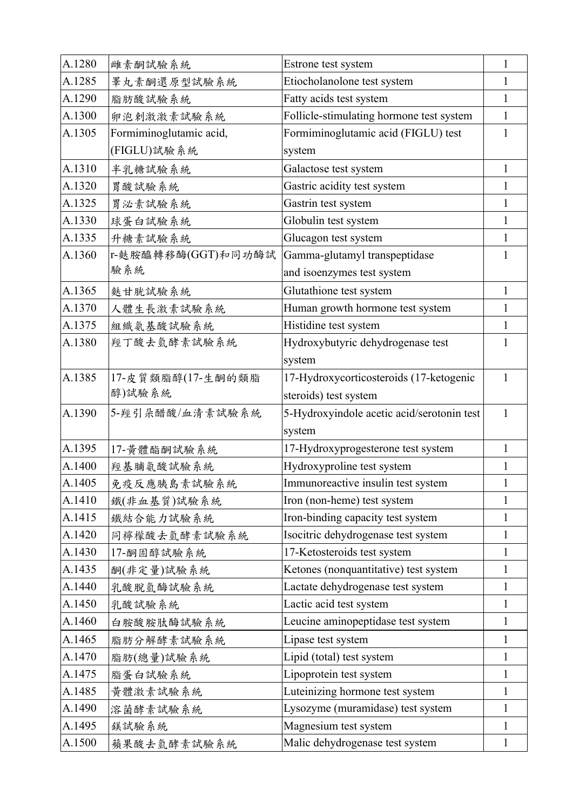| A.1280 | 雌素酮試驗系統                 | Estrone test system                        | 1            |
|--------|-------------------------|--------------------------------------------|--------------|
| A.1285 | 睪丸素酮還原型試驗系統             | Etiocholanolone test system                | 1            |
| A.1290 | 脂肪酸試驗系統                 | Fatty acids test system                    |              |
| A.1300 | 卵泡剌激激素試驗系統              | Follicle-stimulating hormone test system   | 1            |
| A.1305 | Formiminoglutamic acid, | Formiminoglutamic acid (FIGLU) test        |              |
|        | (FIGLU)試驗系統             | system                                     |              |
| A.1310 | 半乳糖試驗系統                 | Galactose test system                      | 1            |
| A.1320 | 胃酸試驗系統                  | Gastric acidity test system                | 1            |
| A.1325 | 胃泌素試驗系統                 | Gastrin test system                        | 1            |
| A.1330 | 球蛋白試驗系統                 | Globulin test system                       | 1            |
| A.1335 | 升糖素試驗系統                 | Glucagon test system                       | 1            |
| A.1360 | r-麩胺醯轉移酶(GGT)和同功酶試      | Gamma-glutamyl transpeptidase              | 1            |
|        | 驗系統                     | and isoenzymes test system                 |              |
| A.1365 | 麩甘胱試驗系統                 | Glutathione test system                    | $\mathbf{1}$ |
| A.1370 | 人體生長激素試驗系統              | Human growth hormone test system           | 1            |
| A.1375 | 組織氨基酸試驗系統               | Histidine test system                      | $\mathbf{1}$ |
| A.1380 | 羥丁酸去氫酵素試驗系統             | Hydroxybutyric dehydrogenase test          | 1            |
|        |                         | system                                     |              |
| A.1385 | 17-皮質類脂醇(17-生酮的類脂       | 17-Hydroxycorticosteroids (17-ketogenic    | 1            |
|        | 醇)試驗系統                  | steroids) test system                      |              |
| A.1390 | 5-羥引朵醋酸/血清素試驗系統         | 5-Hydroxyindole acetic acid/serotonin test | 1            |
|        |                         | system                                     |              |
| A.1395 | 17-黃體酯酮試驗系統             | 17-Hydroxyprogesterone test system         | 1            |
| A.1400 | 羥基脯氨酸試驗系統               | Hydroxyproline test system                 | 1            |
| A.1405 | 免疫反應胰島素試驗系統             | Immunoreactive insulin test system         |              |
| A.1410 | 鐵(非血基質)試驗系統             | Iron (non-heme) test system                | 1            |
| A.1415 | 鐵結合能力試驗系統               | Iron-binding capacity test system          | 1            |
| A.1420 | 同檸檬酸去氫酵素試驗系統            | Isocitric dehydrogenase test system        | 1            |
| A.1430 | 17-酮固醇試驗系統              | 17-Ketosteroids test system                | 1            |
| A.1435 | 酮(非定量)試驗系統              | Ketones (nonquantitative) test system      | 1            |
| A.1440 | 乳酸脱氫酶試驗系統               | Lactate dehydrogenase test system          | 1            |
| A.1450 | 乳酸試驗系統                  | Lactic acid test system                    | 1            |
| A.1460 | 白胺酸胺肽酶試驗系統              | Leucine aminopeptidase test system         | 1            |
| A.1465 | 脂肪分解酵素試驗系統              | Lipase test system                         | 1            |
| A.1470 | 脂肪(總量)試驗系統              | Lipid (total) test system                  | 1            |
| A.1475 | 脂蛋白試驗系統                 | Lipoprotein test system                    | 1            |
| A.1485 | 黄體激素試驗系統                | Luteinizing hormone test system            | 1            |
| A.1490 | 溶菌酵素試驗系統                | Lysozyme (muramidase) test system          | 1            |
| A.1495 | 鎂試驗系統                   | Magnesium test system                      | 1            |
| A.1500 | 蘋果酸去氫酵素試驗系統             | Malic dehydrogenase test system            | $\mathbf{1}$ |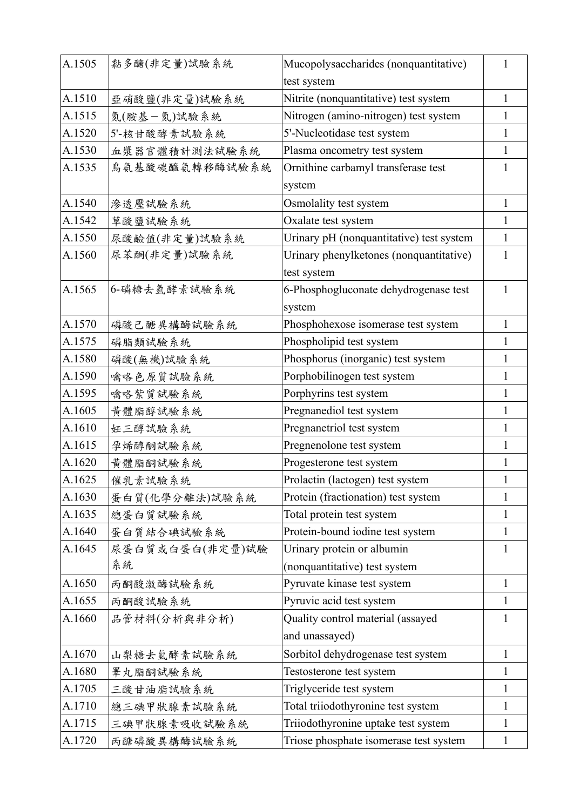| A.1505 | 黏多醣(非定量)試驗系統    | Mucopolysaccharides (nonquantitative)    | 1            |
|--------|-----------------|------------------------------------------|--------------|
|        |                 | test system                              |              |
| A.1510 | 亞硝酸鹽(非定量)試驗系統   | Nitrite (nonquantitative) test system    | $\mathbf{1}$ |
| A.1515 | 氮(胺基一氮)試驗系統     | Nitrogen (amino-nitrogen) test system    | $\mathbf{1}$ |
| A.1520 | 5'-核甘酸酵素試驗系統    | 5'-Nucleotidase test system              | $\mathbf{1}$ |
| A.1530 | 血漿器官體積計測法試驗系統   | Plasma oncometry test system             | $\mathbf{1}$ |
| A.1535 | 鳥氨基酸碳醯氨轉移酶試驗系統  | Ornithine carbamyl transferase test      | 1            |
|        |                 | system                                   |              |
| A.1540 | 滲透壓試驗系統         | Osmolality test system                   | $\mathbf{1}$ |
| A.1542 | 草酸鹽試驗系統         | Oxalate test system                      | 1            |
| A.1550 | 尿酸鹼值(非定量)試驗系統   | Urinary pH (nonquantitative) test system | 1            |
| A.1560 | 尿苯酮(非定量)試驗系統    | Urinary phenylketones (nonquantitative)  | 1            |
|        |                 | test system                              |              |
| A.1565 | 6-磷糖去氫酵素試驗系統    | 6-Phosphogluconate dehydrogenase test    | 1            |
|        |                 | system                                   |              |
| A.1570 | 磷酸己醣異構酶試驗系統     | Phosphohexose isomerase test system      | $\mathbf{1}$ |
| A.1575 | 磷脂類試驗系統         | Phospholipid test system                 | $\mathbf{1}$ |
| A.1580 | 磷酸(無機)試驗系統      | Phosphorus (inorganic) test system       | 1            |
| A.1590 | 噙咯色原質試驗系統       | Porphobilinogen test system              | 1            |
| A.1595 | 噙咯紫質試驗系統        | Porphyrins test system                   | $\mathbf{1}$ |
| A.1605 | 黄體脂醇試驗系統        | Pregnanediol test system                 | $\mathbf{1}$ |
| A.1610 | 妊三醇試驗系統         | Pregnanetriol test system                | $\mathbf{1}$ |
| A.1615 | 孕烯醇酮試驗系統        | Pregnenolone test system                 | 1            |
| A.1620 | 黄體脂酮試驗系統        | Progesterone test system                 | 1            |
| A.1625 | 催乳素試驗系統         | Prolactin (lactogen) test system         | 1            |
| A.1630 | 蛋白質(化學分離法)試驗系統  | Protein (fractionation) test system      | 1            |
| A.1635 | 總蛋白質試驗系統        | Total protein test system                | 1            |
| A.1640 | 蛋白質結合碘試驗系統      | Protein-bound iodine test system         | 1            |
| A.1645 | 尿蛋白質或白蛋白(非定量)試驗 | Urinary protein or albumin               | 1            |
|        | 系統              | (nonquantitative) test system            |              |
| A.1650 | 丙酮酸激酶試驗系統       | Pyruvate kinase test system              | $\mathbf{1}$ |
| A.1655 | 丙酮酸試驗系統         | Pyruvic acid test system                 | 1            |
| A.1660 | 品管材料(分析與非分析)    | Quality control material (assayed        | 1            |
|        |                 | and unassayed)                           |              |
| A.1670 | 山梨糖去氫酵素試驗系統     | Sorbitol dehydrogenase test system       | 1            |
| A.1680 | 睪丸脂酮試驗系統        | Testosterone test system                 | 1            |
| A.1705 | 三酸甘油脂試驗系統       | Triglyceride test system                 | 1            |
| A.1710 | 總三碘甲狀腺素試驗系統     | Total triiodothyronine test system       | 1            |
| A.1715 | 三碘甲狀腺素吸收試驗系統    | Triiodothyronine uptake test system      | 1            |
| A.1720 | 丙醣磷酸異構酶試驗系統     | Triose phosphate isomerase test system   | 1            |
|        |                 |                                          |              |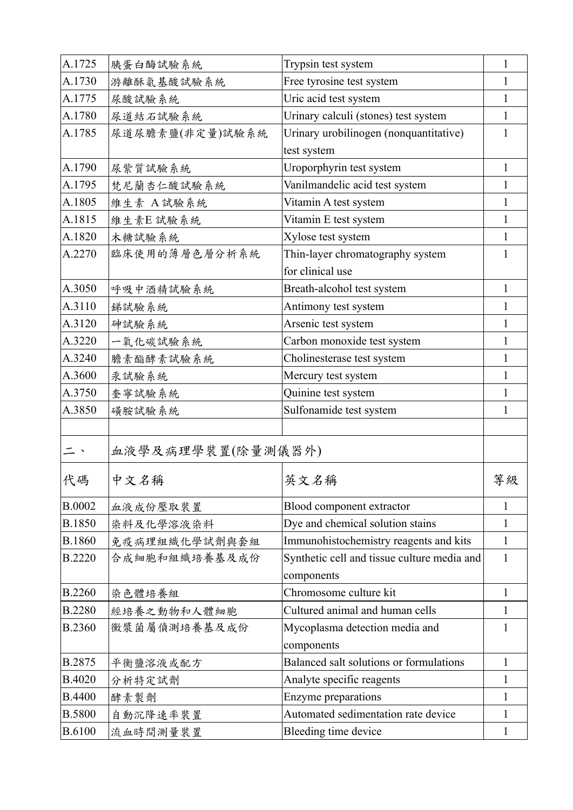| A.1725        | 胰蛋白酶試驗系統          | Trypsin test system                                       | 1            |
|---------------|-------------------|-----------------------------------------------------------|--------------|
| A.1730        | 游離酥氨基酸試驗系統        | Free tyrosine test system                                 | 1            |
| A.1775        | 尿酸試驗系統            | Uric acid test system                                     | 1            |
| A.1780        | 尿道結石試驗系統          | Urinary calculi (stones) test system                      | 1            |
| A.1785        | 尿道尿膽素鹽(非定量)試驗系統   | Urinary urobilinogen (nonquantitative)                    | 1            |
|               |                   | test system                                               |              |
| A.1790        | 尿紫質試驗系統           | Uroporphyrin test system                                  | 1            |
| A.1795        | 梵尼蘭杏仁酸試驗系統        | Vanilmandelic acid test system                            | 1            |
| A.1805        | 維生素 A試驗系統         | Vitamin A test system                                     | 1            |
| A.1815        | 維生素E試驗系統          | Vitamin E test system                                     | 1            |
| A.1820        | 木糖試驗系統            | Xylose test system                                        |              |
| A.2270        | 臨床使用的薄層色層分析系統     | Thin-layer chromatography system                          | 1            |
|               |                   | for clinical use                                          |              |
| A.3050        | 呼吸中酒精試驗系統         | Breath-alcohol test system                                | 1            |
| A.3110        | 銻試驗系統             | Antimony test system                                      | 1            |
| A.3120        | 砷試驗系統             | Arsenic test system                                       | 1            |
| A.3220        | 一氧化碳試驗系統          | Carbon monoxide test system                               | 1            |
| A.3240        | 膽素酯酵素試驗系統         | Cholinesterase test system                                | 1            |
| A.3600        | 汞試驗系統             | Mercury test system                                       | 1            |
| A.3750        | 奎寧試驗系統            | Quinine test system                                       | 1            |
| A.3850        | 磺胺試驗系統            | Sulfonamide test system                                   | 1            |
|               |                   |                                                           |              |
| 二、            | 血液學及病理學裝置(除量測儀器外) |                                                           |              |
| 代碼            | 中文名稱              | 英文名稱                                                      | 等級           |
| <b>B.0002</b> | 血液成份壓取裝置          | Blood component extractor                                 | 1            |
| <b>B.1850</b> | 染料及化學溶液染料         | Dye and chemical solution stains                          | 1            |
| <b>B.1860</b> | 免疫病理組織化學試劑與套組     | Immunohistochemistry reagents and kits                    | 1            |
| <b>B.2220</b> | 合成細胞和組織培養基及成份     | Synthetic cell and tissue culture media and<br>components | 1            |
| <b>B.2260</b> | 染色體培養組            | Chromosome culture kit                                    | $\mathbf{1}$ |
| <b>B.2280</b> | 經培養之動物和人體細胞       | Cultured animal and human cells                           | 1            |
| <b>B.2360</b> | 黴漿菌屬偵測培養基及成份      | Mycoplasma detection media and                            | 1            |
|               |                   | components                                                |              |
| B.2875        | 平衡鹽溶液或配方          | Balanced salt solutions or formulations                   | 1            |
| <b>B.4020</b> | 分析特定試劑            | Analyte specific reagents                                 | 1            |
| <b>B.4400</b> | 酵素製劑              | Enzyme preparations                                       | 1            |
| <b>B.5800</b> | 自動沉降速率裝置          | Automated sedimentation rate device                       | 1            |
| <b>B.6100</b> | 流血時間測量裝置          | Bleeding time device                                      | 1            |
|               |                   |                                                           |              |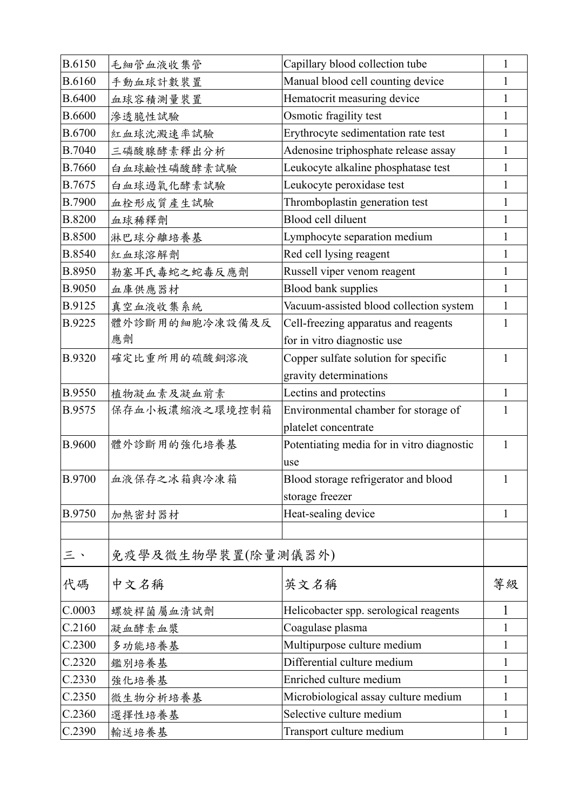| <b>B.6150</b> | 毛細管血液收集管           | Capillary blood collection tube            | 1            |
|---------------|--------------------|--------------------------------------------|--------------|
| <b>B.6160</b> | 手動血球計數裝置           | Manual blood cell counting device          | 1            |
| <b>B.6400</b> | 血球容積測量裝置           | Hematocrit measuring device                | 1            |
| <b>B.6600</b> | 滲透脆性試驗             | Osmotic fragility test                     | 1            |
| <b>B.6700</b> | 紅血球沈澱速率試驗          | Erythrocyte sedimentation rate test        | 1            |
| B.7040        | 三磷酸腺酵素釋出分析         | Adenosine triphosphate release assay       | 1            |
| <b>B.7660</b> | 白血球鹼性磷酸酵素試驗        | Leukocyte alkaline phosphatase test        | 1            |
| B.7675        | 白血球過氧化酵素試驗         | Leukocyte peroxidase test                  | 1            |
| <b>B.7900</b> | 血栓形成質產生試驗          | Thromboplastin generation test             | 1            |
| <b>B.8200</b> | 血球稀釋劑              | Blood cell diluent                         | 1            |
| <b>B.8500</b> | 淋巴球分離培養基           | Lymphocyte separation medium               | 1            |
| <b>B.8540</b> | 紅血球溶解劑             | Red cell lysing reagent                    | 1            |
| B.8950        | 勒塞耳氏毒蛇之蛇毒反應劑       | Russell viper venom reagent                | 1            |
| <b>B.9050</b> | 血庫供應器材             | Blood bank supplies                        | 1            |
| B.9125        | 真空血液收集系統           | Vacuum-assisted blood collection system    | 1            |
| B.9225        | 體外診斷用的細胞冷凍設備及反     | Cell-freezing apparatus and reagents       | 1            |
|               | 應劑                 | for in vitro diagnostic use                |              |
| <b>B.9320</b> | 確定比重所用的硫酸銅溶液       | Copper sulfate solution for specific       | $\mathbf{1}$ |
|               |                    | gravity determinations                     |              |
| <b>B.9550</b> | 植物凝血素及凝血前素         | Lectins and protectins                     | $\mathbf{1}$ |
| B.9575        | 保存血小板濃縮液之環境控制箱     | Environmental chamber for storage of       | 1            |
|               |                    | platelet concentrate                       |              |
| <b>B.9600</b> | 體外診斷用的強化培養基        | Potentiating media for in vitro diagnostic | 1            |
|               |                    | use                                        |              |
| <b>B.9700</b> | 血液保存之冰箱與冷凍箱        | Blood storage refrigerator and blood       | $\mathbf{1}$ |
|               |                    | storage freezer                            |              |
| B.9750        | 加熱密封器材             | Heat-sealing device                        | $\mathbf{1}$ |
|               |                    |                                            |              |
| 三、            | 免疫學及微生物學裝置(除量測儀器外) |                                            |              |
| 代碼            | 中文名稱               | 英文名稱                                       | 等級           |
| C.0003        | 螺旋桿菌屬血清試劑          | Helicobacter spp. serological reagents     | 1            |
| C.2160        | 凝血酵素血漿             | Coagulase plasma                           | 1            |
| C.2300        | 多功能培養基             | Multipurpose culture medium                | 1            |
| C.2320        | 鑑別培養基              | Differential culture medium                | 1            |
| C.2330        | 強化培養基              | Enriched culture medium                    | 1            |
| C.2350        | 微生物分析培養基           | Microbiological assay culture medium       | 1            |
| C.2360        | 選擇性培養基             | Selective culture medium                   | 1            |
| C.2390        | 輸送培養基              | Transport culture medium                   | $\mathbf{1}$ |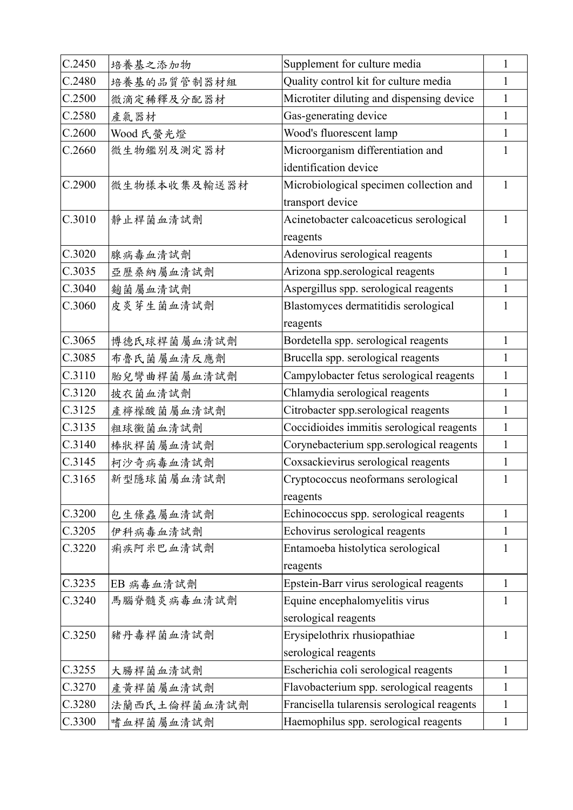| C.2450 | 培養基之添加物      | Supplement for culture media                | $\mathbf{1}$ |
|--------|--------------|---------------------------------------------|--------------|
| C.2480 | 培養基的品質管制器材組  | Quality control kit for culture media       | 1            |
| C.2500 | 微滴定稀釋及分配器材   | Microtiter diluting and dispensing device   | $\mathbf{1}$ |
| C.2580 | 產氣器材         | Gas-generating device                       | $\mathbf{1}$ |
| C.2600 | Wood 氏螢光燈    | Wood's fluorescent lamp                     | $\mathbf{1}$ |
| C.2660 | 微生物鑑別及測定器材   | Microorganism differentiation and           | 1            |
|        |              | identification device                       |              |
| C.2900 | 微生物樣本收集及輸送器材 | Microbiological specimen collection and     | $\mathbf{1}$ |
|        |              | transport device                            |              |
| C.3010 | 靜止桿菌血清試劑     | Acinetobacter calcoaceticus serological     | $\mathbf{1}$ |
|        |              | reagents                                    |              |
| C.3020 | 腺病毒血清試劑      | Adenovirus serological reagents             | $\mathbf{1}$ |
| C.3035 | 亞歷桑納屬血清試劑    | Arizona spp.serological reagents            | 1            |
| C.3040 | 麴菌屬血清試劑      | Aspergillus spp. serological reagents       | $\mathbf{1}$ |
| C.3060 | 皮炎芽生菌血清試劑    | Blastomyces dermatitidis serological        | 1            |
|        |              | reagents                                    |              |
| C.3065 | 博德氏球桿菌屬血清試劑  | Bordetella spp. serological reagents        | 1            |
| C.3085 | 布魯氏菌屬血清反應劑   | Brucella spp. serological reagents          | 1            |
| C.3110 | 胎兒彎曲桿菌屬血清試劑  | Campylobacter fetus serological reagents    | $\mathbf{1}$ |
| C.3120 | 披衣菌血清試劑      | Chlamydia serological reagents              | $\mathbf{1}$ |
| C.3125 | 產檸檬酸菌屬血清試劑   | Citrobacter spp.serological reagents        | $\mathbf{1}$ |
| C.3135 | 粗球黴菌血清試劑     | Coccidioides immitis serological reagents   | $\mathbf{1}$ |
| C.3140 | 棒狀桿菌屬血清試劑    | Corynebacterium spp.serological reagents    | $\mathbf{1}$ |
| C.3145 | 柯沙奇病毒血清試劑    | Coxsackievirus serological reagents         | 1            |
| C.3165 | 新型隱球菌屬血清試劑   | Cryptococcus neoformans serological         | $\mathbf{1}$ |
|        |              | reagents                                    |              |
| C.3200 | 包生條蟲屬血清試劑    | Echinococcus spp. serological reagents      | $\mathbf{1}$ |
| C.3205 | 伊科病毒血清試劑     | Echovirus serological reagents              | 1            |
| C.3220 | 痢疾阿米巴血清試劑    | Entamoeba histolytica serological           | 1            |
|        |              | reagents                                    |              |
| C.3235 | EB 病毒血清試劑    | Epstein-Barr virus serological reagents     | $\mathbf{1}$ |
| C.3240 | 馬腦脊髓炎病毒血清試劑  | Equine encephalomyelitis virus              | 1            |
|        |              | serological reagents                        |              |
| C.3250 | 豬丹毒桿菌血清試劑    | Erysipelothrix rhusiopathiae                | 1            |
|        |              | serological reagents                        |              |
| C.3255 | 大腸桿菌血清試劑     | Escherichia coli serological reagents       | 1            |
| C.3270 | 產黃桿菌屬血清試劑    | Flavobacterium spp. serological reagents    | 1            |
| C.3280 | 法蘭西氏土倫桿菌血清試劑 | Francisella tularensis serological reagents | 1            |
| C.3300 | 嗜血桿菌屬血清試劑    | Haemophilus spp. serological reagents       | 1            |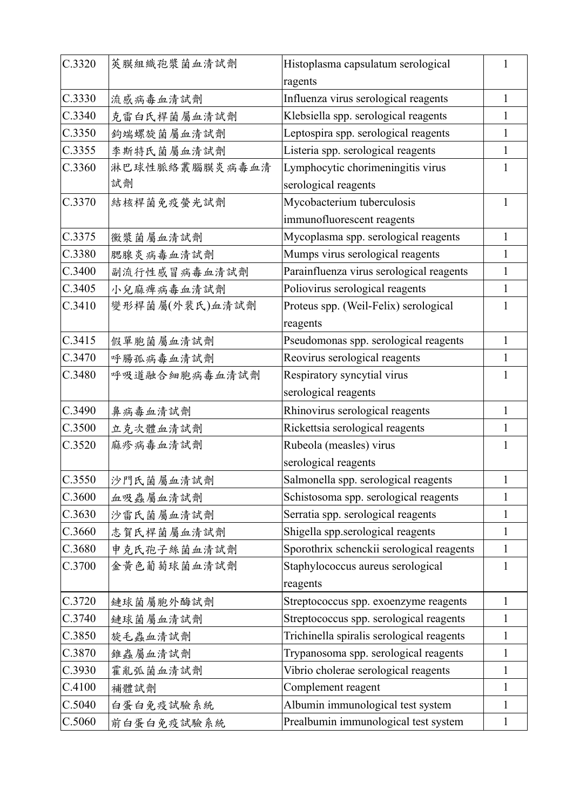| C.3320 | 莢膜組織孢漿菌血清試劑    | Histoplasma capsulatum serological        | 1            |
|--------|----------------|-------------------------------------------|--------------|
|        |                | ragents                                   |              |
| C.3330 | 流感病毒血清試劑       | Influenza virus serological reagents      | 1            |
| C.3340 | 克雷白氏桿菌屬血清試劑    | Klebsiella spp. serological reagents      | 1            |
| C.3350 | 鉤端螺旋菌屬血清試劑     | Leptospira spp. serological reagents      | 1            |
| C.3355 | 李斯特氏菌屬血清試劑     | Listeria spp. serological reagents        | $\mathbf{1}$ |
| C.3360 | 淋巴球性脈絡叢腦膜炎病毒血清 | Lymphocytic chorimeningitis virus         | 1            |
|        | 試劑             | serological reagents                      |              |
| C.3370 | 結核桿菌免疫螢光試劑     | Mycobacterium tuberculosis                | 1            |
|        |                | immunofluorescent reagents                |              |
| C.3375 | 黴漿菌屬血清試劑       | Mycoplasma spp. serological reagents      | 1            |
| C.3380 | 腮腺炎病毒血清試劑      | Mumps virus serological reagents          | $\mathbf{1}$ |
| C.3400 | 副流行性感冒病毒血清試劑   | Parainfluenza virus serological reagents  | 1            |
| C.3405 | 小兒麻痺病毒血清試劑     | Poliovirus serological reagents           | $\mathbf{1}$ |
| C.3410 | 變形桿菌屬(外裴氏)血清試劑 | Proteus spp. (Weil-Felix) serological     | 1            |
|        |                | reagents                                  |              |
| C.3415 | 假單胞菌屬血清試劑      | Pseudomonas spp. serological reagents     | 1            |
| C.3470 | 呼腸孤病毒血清試劑      | Reovirus serological reagents             | 1            |
| C.3480 | 呼吸道融合細胞病毒血清試劑  | Respiratory syncytial virus               | 1            |
|        |                | serological reagents                      |              |
| C.3490 | 鼻病毒血清試劑        | Rhinovirus serological reagents           | 1            |
| C.3500 | 立克次體血清試劑       | Rickettsia serological reagents           | 1            |
| C.3520 | 麻疹病毒血清試劑       | Rubeola (measles) virus                   | 1            |
|        |                | serological reagents                      |              |
| C.3550 | 沙門氏菌屬血清試劑      | Salmonella spp. serological reagents      | $\mathbf{1}$ |
| C.3600 | 血吸蟲屬血清試劑       | Schistosoma spp. serological reagents     | $\mathbf{1}$ |
| C.3630 | 沙雷氏菌屬血清試劑      | Serratia spp. serological reagents        | 1            |
| C.3660 | 志賀氏桿菌屬血清試劑     | Shigella spp.serological reagents         | 1            |
| C.3680 | 申克氏孢子絲菌血清試劑    | Sporothrix schenckii serological reagents | 1            |
| C.3700 | 金黄色葡萄球菌血清試劑    | Staphylococcus aureus serological         | 1            |
|        |                | reagents                                  |              |
| C.3720 | 鏈球菌屬胞外酶試劑      | Streptococcus spp. exoenzyme reagents     | $\mathbf{1}$ |
| C.3740 | 鏈球菌屬血清試劑       | Streptococcus spp. serological reagents   | 1            |
| C.3850 | 旋毛蟲血清試劑        | Trichinella spiralis serological reagents | 1            |
| C.3870 | 錐蟲屬血清試劑        | Trypanosoma spp. serological reagents     | $\mathbf{1}$ |
| C.3930 | 霍亂弧菌血清試劑       | Vibrio cholerae serological reagents      | 1            |
| C.4100 | 補體試劑           | Complement reagent                        | 1            |
| C.5040 | 白蛋白免疫試驗系統      | Albumin immunological test system         | 1            |
| C.5060 | 前白蛋白免疫試驗系統     | Prealbumin immunological test system      | $\mathbf{1}$ |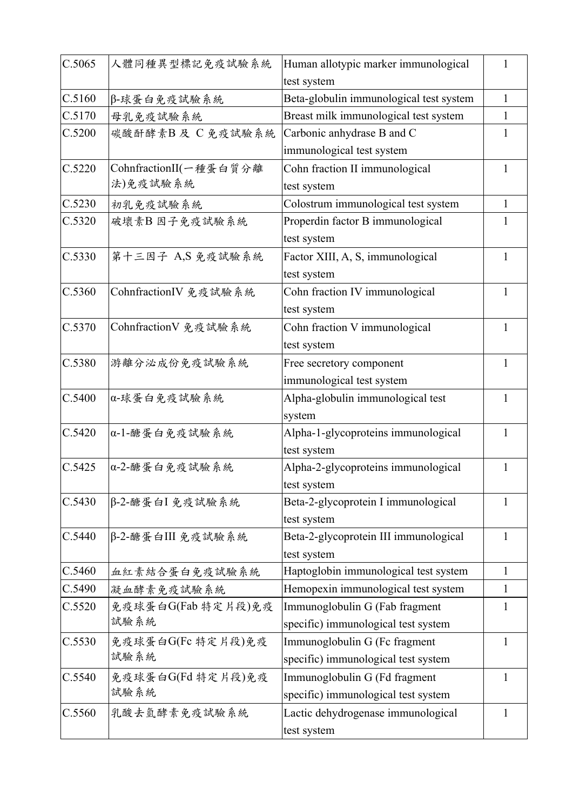| C.5065 | 人體同種異型標記免疫試驗系統         | Human allotypic marker immunological    | 1            |
|--------|------------------------|-----------------------------------------|--------------|
|        |                        | test system                             |              |
| C.5160 | β-球蛋白免疫試驗系統            | Beta-globulin immunological test system | $\mathbf{1}$ |
| C.5170 | 母乳免疫試驗系統               | Breast milk immunological test system   | 1            |
| C.5200 | 碳酸酐酵素B及 C免疫試驗系統        | Carbonic anhydrase B and C              | 1            |
|        |                        | immunological test system               |              |
| C.5220 | CohnfractionII(一種蛋白質分離 | Cohn fraction II immunological          | 1            |
|        | 法)免疫試驗系統               | test system                             |              |
| C.5230 | 初乳免疫試驗系統               | Colostrum immunological test system     | $\mathbf{1}$ |
| C.5320 | 破壞素B 因子免疫試驗系統          | Properdin factor B immunological        |              |
|        |                        | test system                             |              |
| C.5330 | 第十三因子 A,S 免疫試驗系統       | Factor XIII, A, S, immunological        |              |
|        |                        | test system                             |              |
| C.5360 | CohnfractionIV 免疫試驗系統  | Cohn fraction IV immunological          | 1            |
|        |                        | test system                             |              |
| C.5370 | CohnfractionV 免疫試驗系統   | Cohn fraction V immunological           | 1            |
|        |                        | test system                             |              |
| C.5380 | 游離分泌成份免疫試驗系統           | Free secretory component                | 1            |
|        |                        | immunological test system               |              |
| C.5400 | α-球蛋白免疫試驗系統            | Alpha-globulin immunological test       | 1            |
|        |                        | system                                  |              |
| C.5420 | α-1-醣蛋白免疫試驗系統          | Alpha-1-glycoproteins immunological     | 1            |
|        |                        | test system                             |              |
| C.5425 | α-2-醣蛋白免疫試驗系統          | Alpha-2-glycoproteins immunological     | 1            |
|        |                        | test system                             |              |
| C.5430 | β-2-醣蛋白I免疫試驗系統         | Beta-2-glycoprotein I immunological     | $\mathbf{1}$ |
|        |                        | test system                             |              |
| C.5440 | β-2-醣蛋白III 免疫試驗系統      | Beta-2-glycoprotein III immunological   | 1            |
|        |                        | test system                             |              |
| C.5460 | 血紅素結合蛋白免疫試驗系統          | Haptoglobin immunological test system   | $\mathbf{1}$ |
| C.5490 | 凝血酵素免疫試驗系統             | Hemopexin immunological test system     | 1            |
| C.5520 | 免疫球蛋白G(Fab 特定片段)免疫     | Immunoglobulin G (Fab fragment          | $\mathbf{1}$ |
|        | 試驗系統                   | specific) immunological test system     |              |
| C.5530 | 免疫球蛋白G(Fc 特定片段)免疫      | Immunoglobulin G (Fc fragment           | $\mathbf{1}$ |
|        | 試驗系統                   | specific) immunological test system     |              |
| C.5540 | 免疫球蛋白G(Fd 特定片段)免疫      | Immunoglobulin G (Fd fragment           | $\mathbf{1}$ |
|        | 試驗系統                   | specific) immunological test system     |              |
| C.5560 | 乳酸去氫酵素免疫試驗系統           | Lactic dehydrogenase immunological      | $\mathbf{1}$ |
|        |                        | test system                             |              |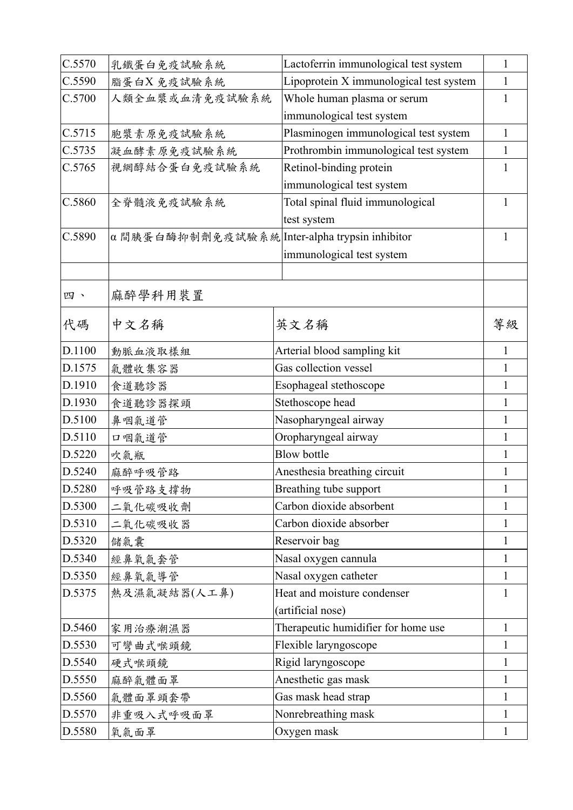| C.5570 | 乳鐵蛋白免疫試驗系統                                    | Lactoferrin immunological test system   | 1            |
|--------|-----------------------------------------------|-----------------------------------------|--------------|
| C.5590 | 脂蛋白X免疫試驗系統                                    | Lipoprotein X immunological test system | 1            |
| C.5700 | 人類全血漿或血清免疫試驗系統                                | Whole human plasma or serum             | 1            |
|        |                                               | immunological test system               |              |
| C.5715 | 胞漿素原免疫試驗系統                                    | Plasminogen immunological test system   | 1            |
| C.5735 | 凝血酵素原免疫試驗系統                                   | Prothrombin immunological test system   | 1            |
| C.5765 | 視網醇結合蛋白免疫試驗系統                                 | Retinol-binding protein                 | 1            |
|        |                                               | immunological test system               |              |
| C.5860 | 全脊髓液免疫試驗系統                                    | Total spinal fluid immunological        | 1            |
|        |                                               | test system                             |              |
| C.5890 | α間胰蛋白酶抑制劑免疫試驗系統 Inter-alpha trypsin inhibitor |                                         | 1            |
|        |                                               | immunological test system               |              |
|        |                                               |                                         |              |
| 四、     | 麻醉學科用裝置                                       |                                         |              |
| 代碼     | 中文名稱                                          | 英文名稱                                    | 等級           |
| D.1100 | 動脈血液取樣組                                       | Arterial blood sampling kit             | 1            |
| D.1575 | 氣體收集容器                                        | Gas collection vessel                   | 1            |
| D.1910 | 食道聽診器                                         | Esophageal stethoscope                  | 1            |
| D.1930 | 食道聽診器探頭                                       | Stethoscope head                        | 1            |
| D.5100 | 鼻咽氣道管                                         | Nasopharyngeal airway                   | 1            |
| D.5110 | 口咽氣道管                                         | Oropharyngeal airway                    | 1            |
| D.5220 | 吹氣瓶                                           | <b>Blow bottle</b>                      | 1            |
| D.5240 | 麻醉呼吸管路                                        | Anesthesia breathing circuit            | 1            |
| D.5280 | 呼吸管路支撑物                                       | Breathing tube support                  |              |
| D.5300 | 二氧化碳吸收劑                                       | Carbon dioxide absorbent                | 1            |
| D.5310 | 二氧化碳吸收器                                       | Carbon dioxide absorber                 | 1            |
| D.5320 | 儲氣囊                                           | Reservoir bag                           | 1            |
| D.5340 | 經鼻氧氣套管                                        | Nasal oxygen cannula                    | 1            |
| D.5350 | 經鼻氧氣導管                                        | Nasal oxygen catheter                   | 1            |
| D.5375 | 熱及濕氣凝結器(人工鼻)                                  | Heat and moisture condenser             | 1            |
|        |                                               | (artificial nose)                       |              |
| D.5460 | 家用治療潮濕器                                       | Therapeutic humidifier for home use     | 1            |
| D.5530 | 可彎曲式喉頭鏡                                       | Flexible laryngoscope                   |              |
| D.5540 | 硬式喉頭鏡                                         | Rigid laryngoscope                      | 1            |
| D.5550 | 麻醉氣體面罩                                        | Anesthetic gas mask                     | 1            |
| D.5560 | 氣體面罩頭套帶                                       | Gas mask head strap                     | 1            |
| D.5570 | 非重吸入式呼吸面罩                                     | Nonrebreathing mask                     | 1            |
| D.5580 | 氧氣面罩                                          | Oxygen mask                             | $\mathbf{1}$ |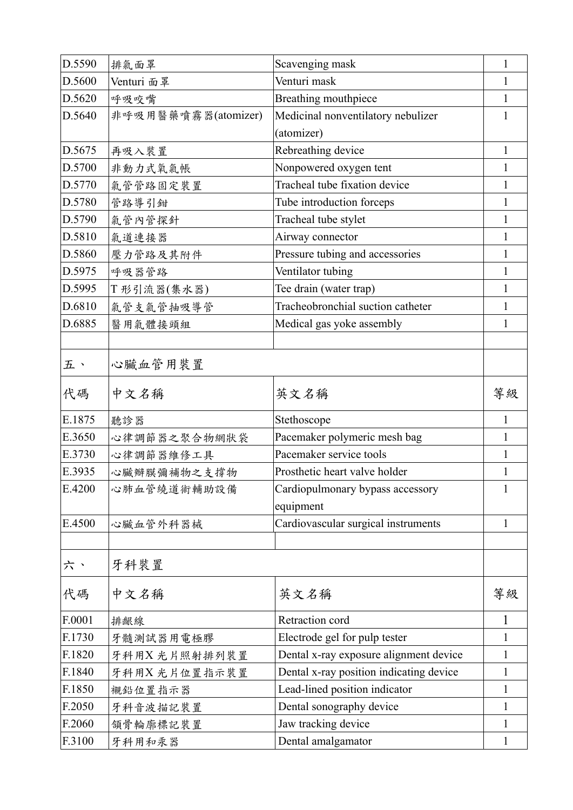| D.5590 | 排氣面罩                | Scavenging mask                               | $\mathbf{1}$ |
|--------|---------------------|-----------------------------------------------|--------------|
| D.5600 | Venturi 面罩          | Venturi mask                                  | 1            |
| D.5620 | 呼吸咬嘴                | Breathing mouthpiece                          | 1            |
| D.5640 | 非呼吸用醫藥噴霧器(atomizer) | Medicinal nonventilatory nebulizer            | 1            |
|        |                     | (atomizer)                                    |              |
| D.5675 | 再吸入裝置               | Rebreathing device                            | $\mathbf{1}$ |
| D.5700 | 非動力式氧氣帳             | Nonpowered oxygen tent                        | 1            |
| D.5770 | 氣管管路固定裝置            | Tracheal tube fixation device                 | 1            |
| D.5780 | 管路導引鉗               | Tube introduction forceps                     | 1            |
| D.5790 | 氣管內管探針              | Tracheal tube stylet                          | 1            |
| D.5810 | 氣道連接器               | Airway connector                              | 1            |
| D.5860 | 壓力管路及其附件            | Pressure tubing and accessories               | 1            |
| D.5975 | 呼吸器管路               | Ventilator tubing                             | 1            |
| D.5995 | T 形引流器(集水器)         | Tee drain (water trap)                        | 1            |
| D.6810 | 氣管支氣管抽吸導管           | Tracheobronchial suction catheter             | 1            |
| D.6885 | 醫用氣體接頭組             | Medical gas yoke assembly                     | 1            |
|        |                     |                                               |              |
| 五、     | 心臟血管用裝置             |                                               |              |
| 代碼     | 中文名稱                | 英文名稱                                          | 等級           |
| E.1875 | 聽診器                 | Stethoscope                                   | 1            |
| E.3650 | 心律調節器之聚合物網狀袋        | Pacemaker polymeric mesh bag                  | $\mathbf{1}$ |
| E.3730 | 心律調節器維修工具           | Pacemaker service tools                       | 1            |
| E.3935 | 心臟瓣膜彌補物之支撐物         | Prosthetic heart valve holder                 | 1            |
| E.4200 | 心肺血管繞道術輔助設備         | Cardiopulmonary bypass accessory<br>equipment |              |
| E.4500 | 心臟血管外科器械            | Cardiovascular surgical instruments           | $\mathbf{1}$ |
|        |                     |                                               |              |
| 六、     | 牙科裝置                |                                               |              |
| 代碼     | 中文名稱                | 英文名稱                                          | 等級           |
| F.0001 | 排齦線                 | Retraction cord                               | 1            |
| F.1730 | 牙髓測試器用電極膠           | Electrode gel for pulp tester                 | 1            |
| F.1820 | 牙科用X光片照射排列裝置        | Dental x-ray exposure alignment device        | 1            |
| F.1840 | 牙科用X 光片位置指示裝置       | Dental x-ray position indicating device       | 1            |
| F.1850 | 襯鉛位置指示器             | Lead-lined position indicator                 | 1            |
| F.2050 | 牙科音波描記裝置            | Dental sonography device                      | 1            |
| F.2060 | 領骨輪廓標記裝置            | Jaw tracking device                           | 1            |
| F.3100 | 牙科用和汞器              | Dental amalgamator                            | $\mathbf{1}$ |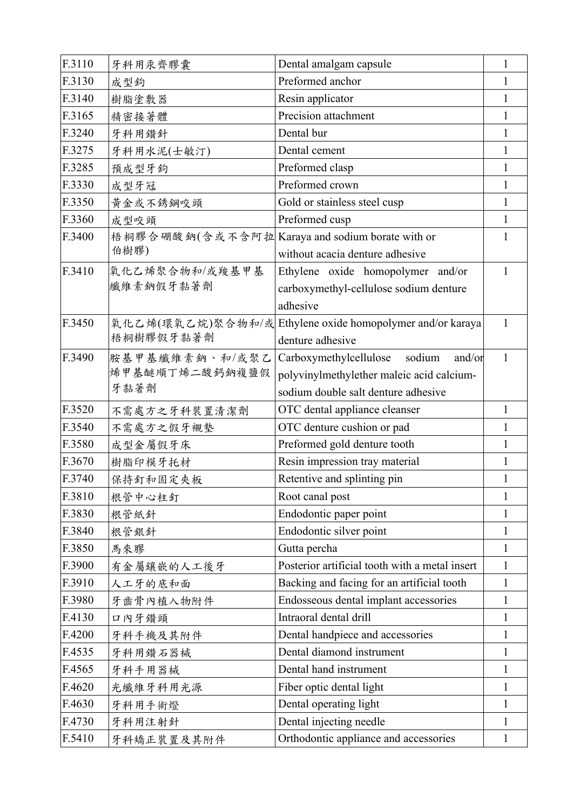| F.3110 | 牙科用汞齊膠囊                                         | Dental amalgam capsule                         | 1            |
|--------|-------------------------------------------------|------------------------------------------------|--------------|
| F.3130 | 成型鉤                                             | Preformed anchor                               | 1            |
| F.3140 | 樹脂塗敷器                                           | Resin applicator                               | L            |
| F.3165 | 精密接著體                                           | Precision attachment                           | 1            |
| F.3240 | 牙科用鑽針                                           | Dental bur                                     |              |
| F.3275 | 牙科用水泥(士敏汀)                                      | Dental cement                                  | 1            |
| F.3285 | 預成型牙鉤                                           | Preformed clasp                                |              |
| F.3330 | 成型牙冠                                            | Preformed crown                                | 1            |
| F.3350 | 黄金或不銹鋼咬頭                                        | Gold or stainless steel cusp                   | 1            |
| F.3360 | 成型咬頭                                            | Preformed cusp                                 | 1            |
| F.3400 | 梧桐膠合硼酸鈉(含或不含阿拉 Karaya and sodium borate with or |                                                |              |
|        | 伯樹膠)                                            | without acacia denture adhesive                |              |
| F.3410 | 氧化乙烯聚合物和/或羧基甲基                                  | Ethylene oxide homopolymer and/or              | 1            |
|        | 纖維素鈉假牙黏著劑                                       | carboxymethyl-cellulose sodium denture         |              |
|        |                                                 | adhesive                                       |              |
| F.3450 | 氧化乙烯(環氧乙烷)聚合物和/或                                | Ethylene oxide homopolymer and/or karaya       | 1            |
|        | 梧桐樹膠假牙黏著劑                                       | denture adhesive                               |              |
| F.3490 | 胺基甲基纖維素鈉、和/或聚乙                                  | Carboxymethylcellulose sodium<br>and/or        | $\mathbf{1}$ |
|        | 烯甲基醚順丁烯二酸鈣鈉複鹽假                                  | polyvinylmethylether maleic acid calcium-      |              |
|        | 牙黏著劑                                            | sodium double salt denture adhesive            |              |
| F.3520 | 不需處方之牙科裝置清潔劑                                    | OTC dental appliance cleanser                  | 1            |
| F.3540 | 不需處方之假牙襯墊                                       | OTC denture cushion or pad                     | 1            |
| F.3580 | 成型金屬假牙床                                         | Preformed gold denture tooth                   | 1            |
| F.3670 | 樹脂印模牙托材                                         | Resin impression tray material                 | 1            |
| F.3740 | 保持釘和固定夾板                                        | Retentive and splinting pin                    | 1            |
| F.3810 | 根管中心柱釘                                          | Root canal post                                | 1            |
| F.3830 | 根管紙針                                            | Endodontic paper point                         | 1            |
| F.3840 | 根管銀針                                            | Endodontic silver point                        | $\mathbf{I}$ |
| F.3850 | 馬來膠                                             | Gutta percha                                   | 1            |
| F.3900 | 有金屬鑲嵌的人工後牙                                      | Posterior artificial tooth with a metal insert | 1            |
| F.3910 | 人工牙的底和面                                         | Backing and facing for an artificial tooth     | 1            |
| F.3980 | 牙齒骨內植入物附件                                       | Endosseous dental implant accessories          |              |
| F.4130 | 口內牙鑽頭                                           | Intraoral dental drill                         | 1            |
| F.4200 | 牙科手機及其附件                                        | Dental handpiece and accessories               |              |
| F.4535 | 牙科用鑽石器械                                         | Dental diamond instrument                      | 1            |
| F.4565 | 牙科手用器械                                          | Dental hand instrument                         |              |
| F.4620 | 光纖維牙科用光源                                        | Fiber optic dental light                       | 1            |
| F.4630 | 牙科用手術燈                                          | Dental operating light                         |              |
| F.4730 | 牙科用注射針                                          | Dental injecting needle                        | 1            |
| F.5410 | 牙科矯正裝置及其附件                                      | Orthodontic appliance and accessories          | 1            |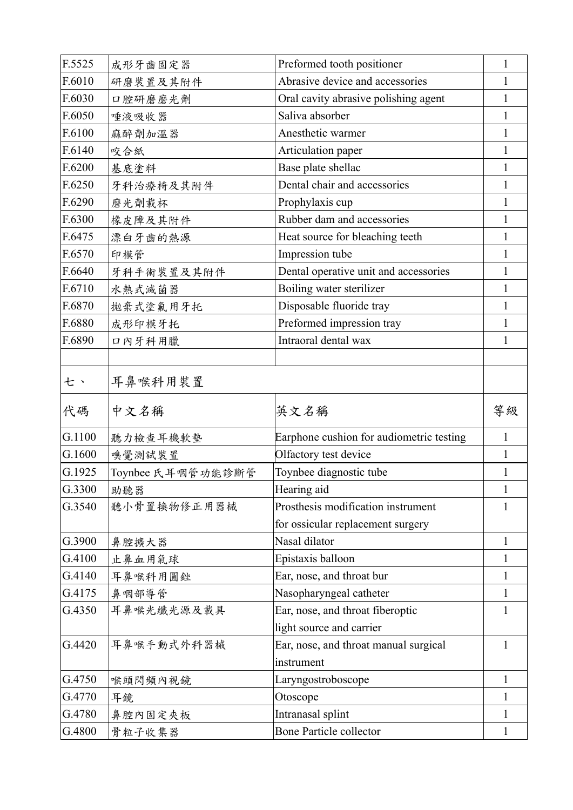| F.5525 | 成形牙齒固定器           | Preformed tooth positioner               | 1        |
|--------|-------------------|------------------------------------------|----------|
| F.6010 | 研磨裝置及其附件          | Abrasive device and accessories          | 1        |
| F.6030 | 口腔研磨磨光劑           | Oral cavity abrasive polishing agent     | I        |
| F.6050 | 唾液吸收器             | Saliva absorber                          | 1        |
| F.6100 | 麻醉劑加溫器            | Anesthetic warmer                        |          |
| F.6140 | 咬合紙               | Articulation paper                       |          |
| F.6200 | 基底塗料              | Base plate shellac                       |          |
| F.6250 | 牙科治療椅及其附件         | Dental chair and accessories             | 1        |
| F.6290 | 磨光劑載杯             | Prophylaxis cup                          |          |
| F.6300 | 橡皮障及其附件           | Rubber dam and accessories               |          |
| F.6475 | 漂白牙齒的熱源           | Heat source for bleaching teeth          |          |
| F.6570 | 印模管               | Impression tube                          |          |
| F.6640 | 牙科手術裝置及其附件        | Dental operative unit and accessories    |          |
| F.6710 | 水熱式滅菌器            | Boiling water sterilizer                 | 1        |
| F.6870 | 拋棄式塗氟用牙托          | Disposable fluoride tray                 |          |
| F.6880 | 成形印模牙托            | Preformed impression tray                |          |
| F.6890 | 口內牙科用臘            | Intraoral dental wax                     | 1        |
|        |                   |                                          |          |
| 七、     | 耳鼻喉科用裝置           |                                          |          |
|        |                   |                                          |          |
| 代碼     | 中文名稱              | 英文名稱                                     | 等級       |
| G.1100 | 聽力檢查耳機軟墊          | Earphone cushion for audiometric testing | 1        |
| G.1600 | 嗅覺測試裝置            | Olfactory test device                    | 1        |
| G.1925 | Toynbee 氏耳咽管功能診斷管 | Toynbee diagnostic tube                  | 1        |
| G.3300 | 助聽器               | Hearing aid                              | $\bf{l}$ |
| G.3540 | 聽小骨置換物修正用器械       | Prosthesis modification instrument       | 1        |
|        |                   | for ossicular replacement surgery        |          |
| G.3900 | 鼻腔擴大器             | Nasal dilator                            | 1        |
| G.4100 | 止鼻血用氣球            | Epistaxis balloon                        | 1        |
| G.4140 | 耳鼻喉科用圓銼           | Ear, nose, and throat bur                | 1        |
| G.4175 | 鼻咽部導管             | Nasopharyngeal catheter                  | 1        |
| G.4350 | 耳鼻喉光纖光源及載具        | Ear, nose, and throat fiberoptic         | 1        |
|        |                   | light source and carrier                 |          |
| G.4420 | 耳鼻喉手動式外科器械        | Ear, nose, and throat manual surgical    | 1        |
|        |                   | instrument                               |          |
| G.4750 | 喉頭閃頻內視鏡           | Laryngostroboscope                       | 1        |
| G.4770 | 耳鏡                | Otoscope                                 | 1        |
| G.4780 | 鼻腔内固定夾板           | Intranasal splint                        | 1        |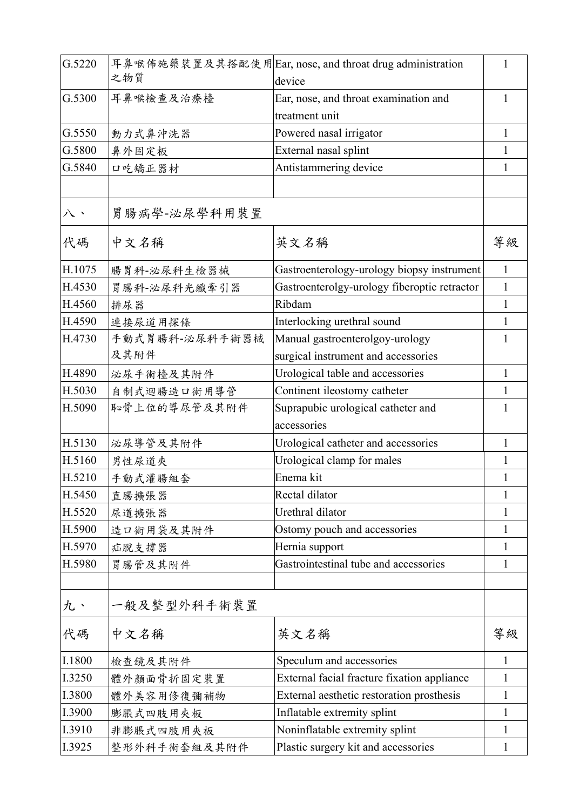| G.5220 | 之物質            | 耳鼻喉佈施藥裝置及其搭配使用Ear, nose, and throat drug administration<br>device | 1            |
|--------|----------------|-------------------------------------------------------------------|--------------|
| G.5300 | 耳鼻喉檢查及治療檯      | Ear, nose, and throat examination and                             | 1            |
|        |                | treatment unit                                                    |              |
| G.5550 | 動力式鼻沖洗器        | Powered nasal irrigator                                           | 1            |
| G.5800 | 鼻外固定板          | External nasal splint                                             | 1            |
| G.5840 | 口吃矯正器材         | Antistammering device                                             | 1            |
|        |                |                                                                   |              |
| 八、     | 胃肠病学-泌尿学科用装置   |                                                                   |              |
| 代碼     | 中文名稱           | 英文名稱                                                              | 等級           |
| H.1075 | 腸胃科-泌尿科生檢器械    | Gastroenterology-urology biopsy instrument                        | 1            |
| H.4530 | 胃腸科-泌尿科光纖牽引器   | Gastroenterolgy-urology fiberoptic retractor                      | 1            |
| H.4560 | 排尿器            | Ribdam                                                            | 1            |
| H.4590 | 連接尿道用探條        | Interlocking urethral sound                                       | 1            |
| H.4730 | 手動式胃腸科-泌尿科手術器械 | Manual gastroenterolgoy-urology                                   |              |
|        | 及其附件           | surgical instrument and accessories                               |              |
| H.4890 | 泌尿手術檯及其附件      | Urological table and accessories                                  | 1            |
| H.5030 | 自制式迴腸造口術用導管    | Continent ileostomy catheter                                      | 1            |
| H.5090 | 恥骨上位的導尿管及其附件   | Suprapubic urological catheter and                                | 1            |
|        |                | accessories                                                       |              |
| H.5130 | 泌尿導管及其附件       | Urological catheter and accessories                               | 1            |
| H.5160 | 男性尿道夾          | Urological clamp for males                                        | 1            |
| H.5210 | 手動式灌腸組套        | Enema kit                                                         | 1            |
| H.5450 | 直腸擴張器          | Rectal dilator                                                    | 1            |
| H.5520 | 尿道擴張器          | Urethral dilator                                                  | 1            |
| H.5900 | 造口術用袋及其附件      | Ostomy pouch and accessories                                      | 1            |
| H.5970 | 疝脱支撑器          | Hernia support                                                    | 1            |
| H.5980 | 胃腸管及其附件        | Gastrointestinal tube and accessories                             | 1            |
|        |                |                                                                   |              |
| 九、     | 一般及整型外科手術裝置    |                                                                   |              |
| 代碼     | 中文名稱           | 英文名稱                                                              | 等級           |
| I.1800 | 檢查鏡及其附件        | Speculum and accessories                                          | $\mathbf{1}$ |
| I.3250 | 體外顏面骨折固定裝置     | External facial fracture fixation appliance                       | 1            |
| I.3800 | 體外美容用修復彌補物     | External aesthetic restoration prosthesis                         | 1            |
| I.3900 | 膨脹式四肢用夾板       | Inflatable extremity splint                                       | 1            |
| I.3910 | 非膨脹式四肢用夾板      | Noninflatable extremity splint                                    | 1            |
| I.3925 | 整形外科手術套組及其附件   | Plastic surgery kit and accessories                               | 1            |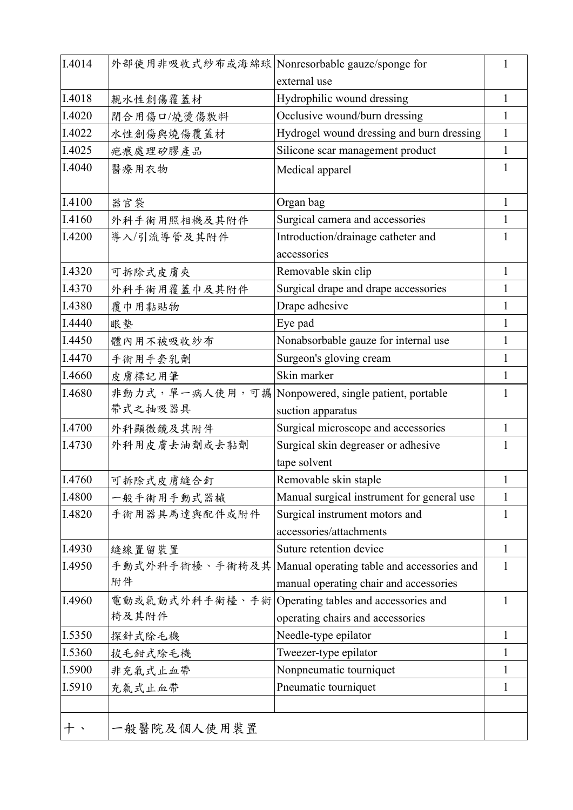| I.4014 | 外部使用非吸收式紗布或海綿球 Nonresorbable gauze/sponge for |                                            | 1            |
|--------|-----------------------------------------------|--------------------------------------------|--------------|
|        |                                               | external use                               |              |
| I.4018 | 親水性創傷覆蓋材                                      | Hydrophilic wound dressing                 | 1            |
| I.4020 | 閉合用傷口/燒燙傷敷料                                   | Occlusive wound/burn dressing              | $\mathbf{1}$ |
| I.4022 | 水性創傷與燒傷覆蓋材                                    | Hydrogel wound dressing and burn dressing  | $\mathbf{1}$ |
| I.4025 | 疤痕處理矽膠產品                                      | Silicone scar management product           | $\mathbf{1}$ |
| I.4040 | 醫療用衣物                                         | Medical apparel                            | 1            |
| I.4100 | 器官袋                                           | Organ bag                                  | 1            |
| I.4160 | 外科手術用照相機及其附件                                  | Surgical camera and accessories            | 1            |
| I.4200 | 導入/引流導管及其附件                                   | Introduction/drainage catheter and         | 1            |
|        |                                               | accessories                                |              |
| I.4320 | 可拆除式皮膚夾                                       | Removable skin clip                        | $\mathbf{1}$ |
| I.4370 | 外科手術用覆蓋巾及其附件                                  | Surgical drape and drape accessories       | 1            |
| I.4380 | 覆巾用黏貼物                                        | Drape adhesive                             | 1            |
| I.4440 | 眼墊                                            | Eye pad                                    | 1            |
| I.4450 | 體內用不被吸收紗布                                     | Nonabsorbable gauze for internal use       | 1            |
| I.4470 | 手術用手套乳劑                                       | Surgeon's gloving cream                    | 1            |
| I.4660 | 皮膚標記用筆                                        | Skin marker                                | 1            |
| I.4680 | 非動力式,單一病人使用,可攜                                | Nonpowered, single patient, portable       | 1            |
|        | 帶式之抽吸器具                                       | suction apparatus                          |              |
| I.4700 | 外科顯微鏡及其附件                                     | Surgical microscope and accessories        | $\mathbf{1}$ |
| I.4730 | 外科用皮膚去油劑或去黏劑                                  | Surgical skin degreaser or adhesive        | 1            |
|        |                                               | tape solvent                               |              |
| I.4760 | 可拆除式皮膚縫合釘                                     | Removable skin staple                      | $\mathbf{1}$ |
| I.4800 | 一般手術用手動式器械                                    | Manual surgical instrument for general use | $\mathbf{1}$ |
| I.4820 | 手術用器具馬達與配件或附件                                 | Surgical instrument motors and             | 1            |
|        |                                               | accessories/attachments                    |              |
| I.4930 | 縫線置留裝置                                        | Suture retention device                    | $\mathbf{1}$ |
| I.4950 | 手動式外科手術檯、手術椅及其                                | Manual operating table and accessories and | 1            |
|        | 附件                                            | manual operating chair and accessories     |              |
| I.4960 | 電動或氣動式外科手術檯、手術                                | Operating tables and accessories and       | 1            |
|        | 椅及其附件                                         | operating chairs and accessories           |              |
| I.5350 | 探針式除毛機                                        | Needle-type epilator                       | 1            |
| I.5360 | 拔毛鉗式除毛機                                       | Tweezer-type epilator                      | 1            |
| I.5900 | 非充氣式止血帶                                       | Nonpneumatic tourniquet                    | 1            |
| I.5910 | 充氣式止血帶                                        | Pneumatic tourniquet                       | $\mathbf{1}$ |
|        |                                               |                                            |              |
|        | 一般醫院及個人使用裝置                                   |                                            |              |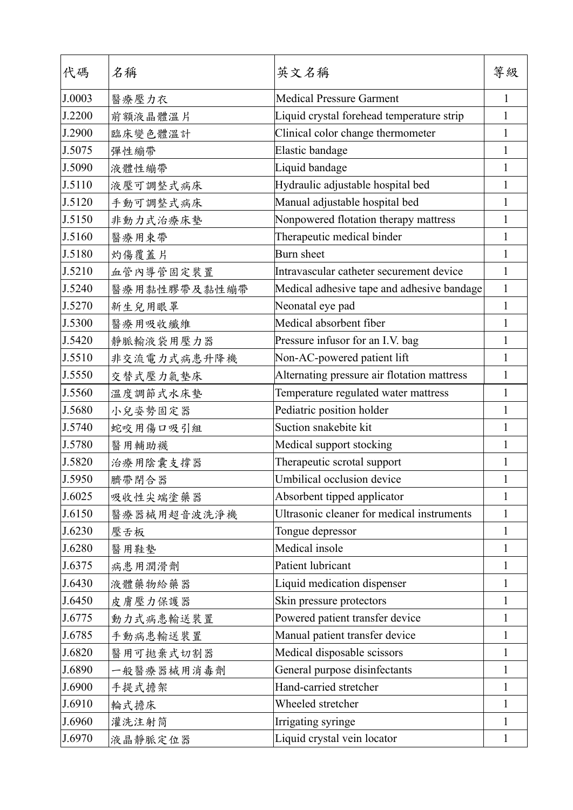| 代碼     | 名稱           | 英文名稱                                        | 等級           |
|--------|--------------|---------------------------------------------|--------------|
| J.0003 | 醫療壓力衣        | <b>Medical Pressure Garment</b>             | 1            |
| J.2200 | 前額液晶體溫片      | Liquid crystal forehead temperature strip   | 1            |
| J.2900 | 臨床變色體溫計      | Clinical color change thermometer           | 1            |
| J.5075 | 彈性繃帶         | Elastic bandage                             | $\mathbf{1}$ |
| J.5090 | 液體性繃帶        | Liquid bandage                              | 1            |
| J.5110 | 液壓可調整式病床     | Hydraulic adjustable hospital bed           | 1            |
| J.5120 | 手動可調整式病床     | Manual adjustable hospital bed              | 1            |
| J.5150 | 非動力式治療床墊     | Nonpowered flotation therapy mattress       | 1            |
| J.5160 | 醫療用束帶        | Therapeutic medical binder                  | 1            |
| J.5180 | 灼傷覆蓋片        | Burn sheet                                  | 1            |
| J.5210 | 血管內導管固定裝置    | Intravascular catheter securement device    | 1            |
| J.5240 | 醫療用黏性膠帶及黏性繃帶 | Medical adhesive tape and adhesive bandage  | $\mathbf{1}$ |
| J.5270 | 新生兒用眼罩       | Neonatal eye pad                            | $\mathbf{1}$ |
| J.5300 | 醫療用吸收纖維      | Medical absorbent fiber                     | 1            |
| J.5420 | 靜脈輸液袋用壓力器    | Pressure infusor for an I.V. bag            | 1            |
| J.5510 | 非交流電力式病患升降機  | Non-AC-powered patient lift                 | 1            |
| J.5550 | 交替式壓力氣墊床     | Alternating pressure air flotation mattress | 1            |
| J.5560 | 温度調節式水床墊     | Temperature regulated water mattress        | $\mathbf{1}$ |
| J.5680 | 小兒姿勢固定器      | Pediatric position holder                   | $\mathbf{1}$ |
| J.5740 | 蛇咬用傷口吸引組     | Suction snakebite kit                       | 1            |
| J.5780 | 醫用輔助襪        | Medical support stocking                    | 1            |
| J.5820 | 治療用陰囊支撐器     | Therapeutic scrotal support                 | 1            |
| J.5950 | 臍帶閉合器        | Umbilical occlusion device                  | 1            |
| J.6025 | 吸收性尖端塗藥器     | Absorbent tipped applicator                 | 1            |
| J.6150 | 醫療器械用超音波洗淨機  | Ultrasonic cleaner for medical instruments  | 1            |
| J.6230 | 壓舌板          | Tongue depressor                            | 1            |
| J.6280 | 醫用鞋墊         | Medical insole                              | 1            |
| J.6375 | 病患用潤滑劑       | Patient lubricant                           | 1            |
| J.6430 | 液體藥物給藥器      | Liquid medication dispenser                 | 1            |
| J.6450 | 皮膚壓力保護器      | Skin pressure protectors                    | 1            |
| J.6775 | 動力式病患輸送裝置    | Powered patient transfer device             | 1            |
| J.6785 | 手動病患輸送裝置     | Manual patient transfer device              | 1            |
| J.6820 | 醫用可拋棄式切割器    | Medical disposable scissors                 | 1            |
| J.6890 | 一般醫療器械用消毒劑   | General purpose disinfectants               | 1            |
| J.6900 | 手提式擔架        | Hand-carried stretcher                      | 1            |
| J.6910 | 輪式擔床         | Wheeled stretcher                           | 1            |
| J.6960 | 灌洗注射筒        | Irrigating syringe                          | 1            |
| J.6970 | 液晶静脈定位器      | Liquid crystal vein locator                 | 1            |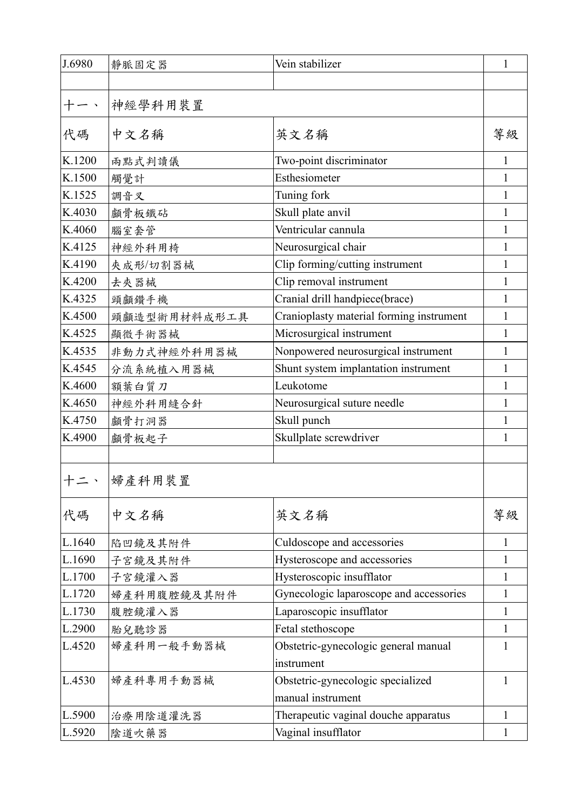| J.6980 | 靜脈固定器        | Vein stabilizer                          | $\mathbf{1}$ |
|--------|--------------|------------------------------------------|--------------|
|        |              |                                          |              |
|        | 神經學科用裝置      |                                          |              |
| 代碼     | 中文名稱         | 英文名稱                                     | 等級           |
| K.1200 | 兩點式判讀儀       | Two-point discriminator                  | $\mathbf{1}$ |
| K.1500 | 觸覺計          | Esthesiometer                            |              |
| K.1525 | 調音叉          | Tuning fork                              |              |
| K.4030 | 顱骨板鐵砧        | Skull plate anvil                        |              |
| K.4060 | 腦室套管         | Ventricular cannula                      | 1            |
| K.4125 | 神經外科用椅       | Neurosurgical chair                      |              |
| K.4190 | 夾成形/切割器械     | Clip forming/cutting instrument          | 1            |
| K.4200 | 去夾器械         | Clip removal instrument                  |              |
| K.4325 | 頭顱鑽手機        | Cranial drill handpiece(brace)           | 1            |
| K.4500 | 頭顱造型術用材料成形工具 | Cranioplasty material forming instrument |              |
| K.4525 | 顯微手術器械       | Microsurgical instrument                 |              |
| K.4535 | 非動力式神經外科用器械  | Nonpowered neurosurgical instrument      | 1            |
| K.4545 | 分流系統植入用器械    | Shunt system implantation instrument     | 1            |
| K.4600 | 額葉白質刀        | Leukotome                                | 1            |
| K.4650 | 神經外科用縫合針     | Neurosurgical suture needle              | 1            |
| K.4750 | 顱骨打洞器        | Skull punch                              | 1            |
| K.4900 | 顱骨板起子        | Skullplate screwdriver                   | 1            |
|        |              |                                          |              |
| 十二、    | 婦產科用裝置       |                                          |              |
| 代碼     | 中文名稱         | 英文名稱                                     | 等級           |
| L.1640 | 陷凹鏡及其附件      | Culdoscope and accessories               | $\mathbf{1}$ |
| L.1690 | 子宫鏡及其附件      | Hysteroscope and accessories             | 1            |
| L.1700 | 子宮鏡灌入器       | Hysteroscopic insufflator                | 1            |
| L.1720 | 婦產科用腹腔鏡及其附件  | Gynecologic laparoscope and accessories  | 1            |
| L.1730 | 腹腔鏡灌入器       | Laparoscopic insufflator                 | 1            |
| L.2900 | 胎兒聽診器        | Fetal stethoscope                        | 1            |
| L.4520 | 婦產科用一般手動器械   | Obstetric-gynecologic general manual     | 1            |
|        |              | instrument                               |              |
| L.4530 | 婦產科專用手動器械    | Obstetric-gynecologic specialized        | 1            |
|        |              | manual instrument                        |              |
| L.5900 | 治療用陰道灌洗器     | Therapeutic vaginal douche apparatus     | 1            |
| L.5920 | 陰道吹藥器        | Vaginal insufflator                      | 1            |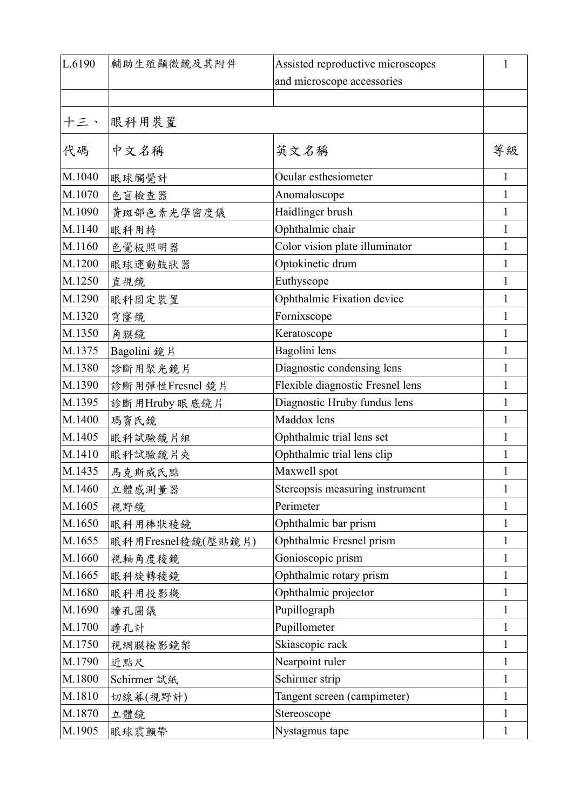| L.6190 | 輔助生殖顯微鏡及其附件        | Assisted reproductive microscopes | 1            |
|--------|--------------------|-----------------------------------|--------------|
|        |                    | and microscope accessories        |              |
|        |                    |                                   |              |
| 十三、    | 眼科用裝置              |                                   |              |
| 代碼     | 中文名稱               | 英文名稱                              | 等級           |
| M.1040 | 眼球觸覺計              | Ocular esthesiometer              | 1            |
| M.1070 | 色盲檢查器              | Anomaloscope                      | 1            |
| M.1090 | 黄斑部色素光學密度儀         | Haidlinger brush                  | 1            |
| M.1140 | 眼科用椅               | Ophthalmic chair                  | 1            |
| M.1160 | 色覺板照明器             | Color vision plate illuminator    | 1            |
| M.1200 | 眼球運動鼓狀器            | Optokinetic drum                  | 1            |
| M.1250 | 直視鏡                | Euthyscope                        | 1            |
| M.1290 | 眼科固定裝置             | Ophthalmic Fixation device        | 1            |
| M.1320 | 穹窿鏡                | Fornixscope                       | 1            |
| M.1350 | 角膜鏡                | Keratoscope                       | 1            |
| M.1375 | Bagolini 鏡片        | Bagolini lens                     | 1            |
| M.1380 | 診斷用聚光鏡片            | Diagnostic condensing lens        | 1            |
| M.1390 | 診斷用彈性Fresnel 鏡片    | Flexible diagnostic Fresnel lens  | 1            |
| M.1395 | 診斷用Hruby 眼底鏡片      | Diagnostic Hruby fundus lens      | 1            |
| M.1400 | 瑪竇氏鏡               | Maddox lens                       | 1            |
| M.1405 | 眼科試驗鏡片組            | Ophthalmic trial lens set         | 1            |
| M.1410 | 眼科試驗鏡片夾            | Ophthalmic trial lens clip        | 1            |
| M.1435 | 馬克斯威氏點             | Maxwell spot                      | 1            |
| M.1460 | 立體感測量器             | Stereopsis measuring instrument   | 1            |
| M.1605 | 視野鏡                | Perimeter                         | 1            |
| M.1650 | 眼科用棒狀稜鏡            | Ophthalmic bar prism              | 1            |
| M.1655 | 眼科用Fresnel稜鏡(壓貼鏡片) | Ophthalmic Fresnel prism          | 1            |
| M.1660 | 視軸角度稜鏡             | Gonioscopic prism                 | 1            |
| M.1665 | 眼科旋轉稜鏡             | Ophthalmic rotary prism           | 1            |
| M.1680 | 眼科用投影機             | Ophthalmic projector              | 1            |
| M.1690 | 瞳孔圖儀               | Pupillograph                      | 1            |
| M.1700 | 瞳孔計                | Pupillometer                      | 1            |
| M.1750 | 視網膜檢影鏡架            | Skiascopic rack                   | 1            |
| M.1790 | 近點尺                | Nearpoint ruler                   | 1            |
| M.1800 | Schirmer 試紙        | Schirmer strip                    | 1            |
| M.1810 | 切線幕(視野計)           | Tangent screen (campimeter)       | 1            |
| M.1870 | 立體鏡                | Stereoscope                       | 1            |
| M.1905 | 眼球震顫帶              | Nystagmus tape                    | $\mathbf{1}$ |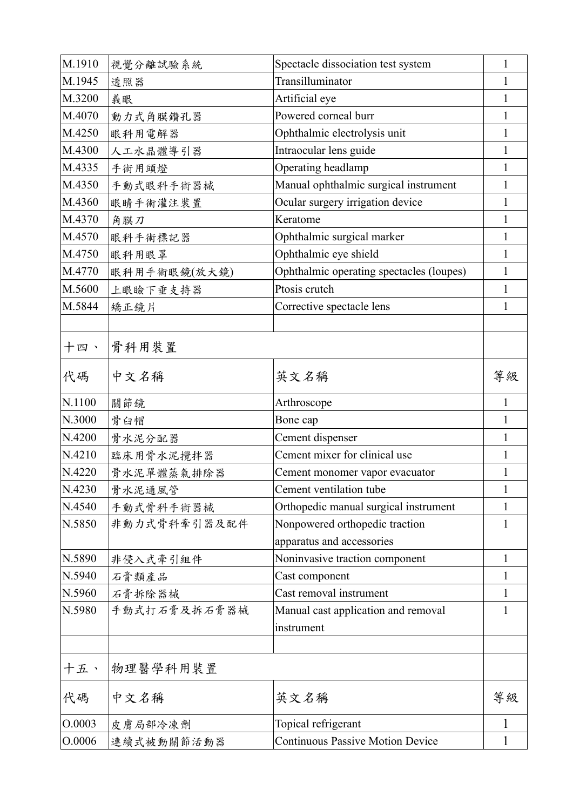| M.1910 | 視覺分離試驗系統     | Spectacle dissociation test system       | 1            |
|--------|--------------|------------------------------------------|--------------|
| M.1945 | 透照器          | Transilluminator                         | 1            |
| M.3200 | 義眼           | Artificial eye                           | $\mathbf{I}$ |
| M.4070 | 動力式角膜鑽孔器     | Powered corneal burr                     | 1            |
| M.4250 | 眼科用電解器       | Ophthalmic electrolysis unit             | 1            |
| M.4300 | 人工水晶體導引器     | Intraocular lens guide                   | 1            |
| M.4335 | 手術用頭燈        | Operating headlamp                       | 1            |
| M.4350 | 手動式眼科手術器械    | Manual ophthalmic surgical instrument    | 1            |
| M.4360 | 眼睛手術灌注裝置     | Ocular surgery irrigation device         | 1            |
| M.4370 | 角膜刀          | Keratome                                 | 1            |
| M.4570 | 眼科手術標記器      | Ophthalmic surgical marker               | 1            |
| M.4750 | 眼科用眼罩        | Ophthalmic eye shield                    | 1            |
| M.4770 | 眼科用手術眼鏡(放大鏡) | Ophthalmic operating spectacles (loupes) | 1            |
| M.5600 | 上眼瞼下垂支持器     | Ptosis crutch                            | 1            |
| M.5844 | 矯正鏡片         | Corrective spectacle lens                | 1            |
|        |              |                                          |              |
| 十四、    | 骨科用装置        |                                          |              |
| 代碼     | 中文名稱         | 英文名稱                                     | 等級           |
| N.1100 | 關節鏡          | Arthroscope                              | 1            |
| N.3000 | 骨臼帽          | Bone cap                                 | 1            |
| N.4200 | 骨水泥分配器       | Cement dispenser                         | 1            |
| N.4210 | 臨床用骨水泥攪拌器    | Cement mixer for clinical use            | 1            |
| N.4220 | 骨水泥單體蒸氣排除器   | Cement monomer vapor evacuator           | 1            |
| N.4230 | 骨水泥通風管       | Cement ventilation tube                  | 1            |
| N.4540 | 手動式骨科手術器械    | Orthopedic manual surgical instrument    | 1            |
| N.5850 | 非動力式骨科牽引器及配件 | Nonpowered orthopedic traction           | 1            |
|        |              | apparatus and accessories                |              |
| N.5890 | 非侵入式牽引組件     | Noninvasive traction component           | 1            |
| N.5940 | 石膏類產品        | Cast component                           | $\mathbf{I}$ |
| N.5960 | 石膏拆除器械       | Cast removal instrument                  | $\mathbf{I}$ |
| N.5980 | 手動式打石膏及拆石膏器械 | Manual cast application and removal      | $\bf{l}$     |
|        |              | instrument                               |              |
| 十五、    | 物理醫學科用裝置     |                                          |              |
| 代碼     | 中文名稱         | 英文名稱                                     | 等級           |
| O.0003 | 皮膚局部冷凍劑      | Topical refrigerant                      | 1            |
| O.0006 | 連續式被動關節活動器   | <b>Continuous Passive Motion Device</b>  | 1            |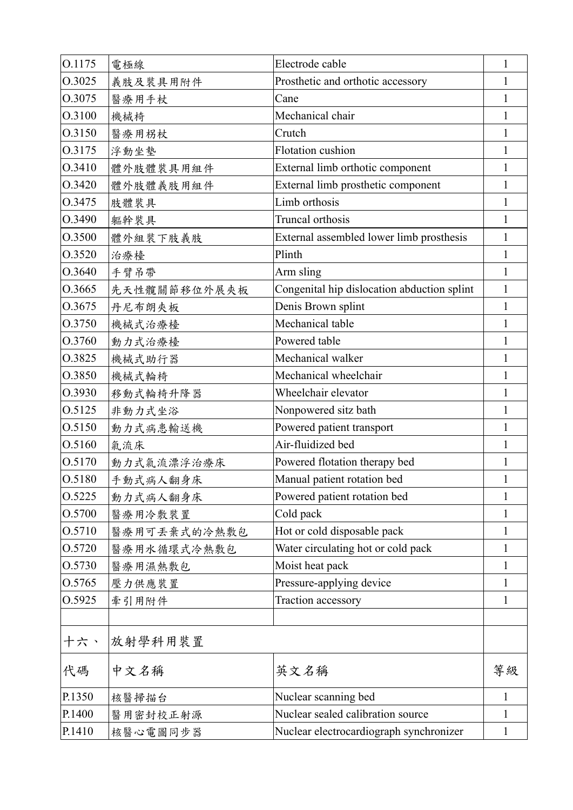| O.1175 | 電極線          | Electrode cable                             | $\mathbf{1}$ |
|--------|--------------|---------------------------------------------|--------------|
| O.3025 | 義肢及裝具用附件     | Prosthetic and orthotic accessory           | 1            |
| O.3075 | 醫療用手杖        | Cane                                        | 1            |
| O.3100 | 機械椅          | Mechanical chair                            | 1            |
| O.3150 | 醫療用柺杖        | Crutch                                      | 1            |
| O.3175 | 浮動坐墊         | Flotation cushion                           | 1            |
| O.3410 | 體外肢體裝具用組件    | External limb orthotic component            | 1            |
| O.3420 | 體外肢體義肢用組件    | External limb prosthetic component          | 1            |
| O.3475 | 肢體裝具         | Limb orthosis                               | 1            |
| O.3490 | 軀幹裝具         | Truncal orthosis                            | 1            |
| O.3500 | 體外組裝下肢義肢     | External assembled lower limb prosthesis    | 1            |
| O.3520 | 治療檯          | Plinth                                      | 1            |
| O.3640 | 手臂吊帶         | Arm sling                                   | 1            |
| 0.3665 | 先天性髖關節移位外展夾板 | Congenital hip dislocation abduction splint | 1            |
| O.3675 | 丹尼布朗夾板       | Denis Brown splint                          | 1            |
| O.3750 | 機械式治療檯       | Mechanical table                            | 1            |
| O.3760 | 動力式治療檯       | Powered table                               | 1            |
| O.3825 | 機械式助行器       | Mechanical walker                           | 1            |
| O.3850 | 機械式輪椅        | Mechanical wheelchair                       | 1            |
| O.3930 | 移動式輪椅升降器     | Wheelchair elevator                         | 1            |
| 0.5125 | 非動力式坐浴       | Nonpowered sitz bath                        | 1            |
| O.5150 | 動力式病患輸送機     | Powered patient transport                   | 1            |
| O.5160 | 氣流床          | Air-fluidized bed                           | 1            |
| O.5170 | 動力式氣流漂浮治療床   | Powered flotation therapy bed               | 1            |
| O.5180 | 手動式病人翻身床     | Manual patient rotation bed                 | $\mathbf{1}$ |
| 0.5225 | 動力式病人翻身床     | Powered patient rotation bed                | $\mathbf{1}$ |
| O.5700 | 醫療用冷敷裝置      | Cold pack                                   | 1            |
| O.5710 | 醫療用可丢棄式的冷熱敷包 | Hot or cold disposable pack                 | 1            |
| O.5720 | 醫療用水循環式冷熱敷包  | Water circulating hot or cold pack          | 1            |
| O.5730 | 醫療用濕熱敷包      | Moist heat pack                             | 1            |
| 0.5765 | 壓力供應裝置       | Pressure-applying device                    | 1            |
| 0.5925 | 牽引用附件        | Traction accessory                          | 1            |
|        |              |                                             |              |
| 十六、    | 放射學科用裝置      |                                             |              |
| 代碼     | 中文名稱         | 英文名稱                                        | 等級           |
| P.1350 | 核醫掃描台        | Nuclear scanning bed                        | $\mathbf{1}$ |
| P.1400 | 醫用密封校正射源     | Nuclear sealed calibration source           | 1            |
| P.1410 | 核醫心電圖同步器     | Nuclear electrocardiograph synchronizer     | $\mathbf{1}$ |